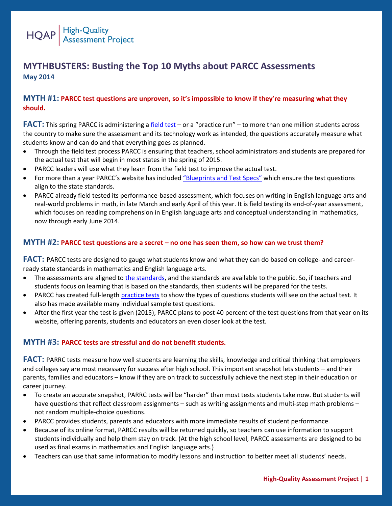

# **MYTHBUSTERS: Busting the Top 10 Myths about PARCC Assessments May 2014**

### **MYTH #1: PARCC test questions are unproven, so it's impossible to know if they're measuring what they should.**

**FACT:** This spring PARCC is administering a [field test](https://www.parcconline.org/field-test) – or a "practice run" – to more than one million students across the country to make sure the assessment and its technology work as intended, the questions accurately measure what students know and can do and that everything goes as planned.

- Through the field test process PARCC is ensuring that teachers, school administrators and students are prepared for the actual test that will begin in most states in the spring of 2015.
- PARCC leaders will use what they learn from the field test to improve the actual test.
- For more than a year PARCC's website has included "Blueprints [and Test Specs](https://www.parcconline.org/assessment-blueprints-test-specs)" which ensure the test questions align to the state standards.
- PARCC already field tested its performance-based assessment, which focuses on writing in English language arts and real-world problems in math, in late March and early April of this year. It is field testing its end-of-year assessment, which focuses on reading comprehension in English language arts and conceptual understanding in mathematics, now through early June 2014.

#### **MYTH #2: PARCC test questions are a secret – no one has seen them, so how can we trust them?**

**FACT:** PARCC tests are designed to gauge what students know and what they can do based on college- and careerready state standards in mathematics and English language arts.

- The assessments are aligned to [the standards,](http://www.corestandards.org/read-the-standards/) and the standards are available to the public. So, if teachers and students focus on learning that is based on the standards, then students will be prepared for the tests.
- PARCC has created full-length [practice tests](http://www.parcconline.org/practice-tests) to show the types of questions students will see on the actual test. It also has made available many individual sample test questions.
- After the first year the test is given (2015), PARCC plans to post 40 percent of the test questions from that year on its website, offering parents, students and educators an even closer look at the test.

#### **MYTH #3: PARCC tests are stressful and do not benefit students.**

**FACT:** PARRC tests measure how well students are learning the skills, knowledge and critical thinking that employers and colleges say are most necessary for success after high school. This important snapshot lets students – and their parents, families and educators – know if they are on track to successfully achieve the next step in their education or career journey.

- To create an accurate snapshot, PARRC tests will be "harder" than most tests students take now. But students will have questions that reflect classroom assignments – such as writing assignments and multi-step math problems – not random multiple-choice questions.
- PARCC provides students, parents and educators with more immediate results of student performance.
- Because of its online format, PARCC results will be returned quickly, so teachers can use information to support students individually and help them stay on track. (At the high school level, PARCC assessments are designed to be used as final exams in mathematics and English language arts.)
- Teachers can use that same information to modify lessons and instruction to better meet all students' needs.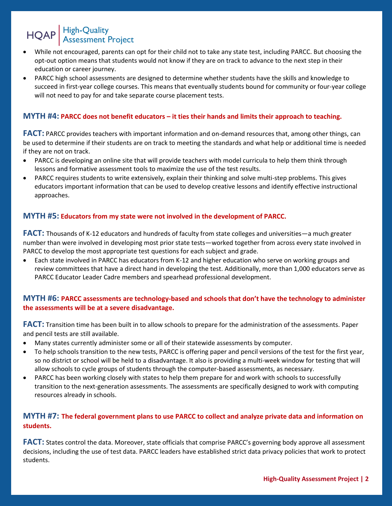# HQAP High-Quality<br>Assessment Project

- While not encouraged, parents can opt for their child not to take any state test, including PARCC. But choosing the opt-out option means that students would not know if they are on track to advance to the next step in their education or career journey.
- PARCC high school assessments are designed to determine whether students have the skills and knowledge to succeed in first-year college courses. This means that eventually students bound for community or four-year college will not need to pay for and take separate course placement tests.

### **MYTH #4: PARCC does not benefit educators – it ties their hands and limits their approach to teaching.**

**FACT:** PARCC provides teachers with important information and on-demand resources that, among other things, can be used to determine if their students are on track to meeting the standards and what help or additional time is needed if they are not on track.

- PARCC is developing an online site that will provide teachers with model curricula to help them think through lessons and formative assessment tools to maximize the use of the test results.
- PARCC requires students to write extensively, explain their thinking and solve multi-step problems. This gives educators important information that can be used to develop creative lessons and identify effective instructional approaches.

### **MYTH #5: Educators from my state were not involved in the development of PARCC.**

**FACT:** Thousands of K-12 educators and hundreds of faculty from state colleges and universities—a much greater number than were involved in developing most prior state tests—worked together from across every state involved in PARCC to develop the most appropriate test questions for each subject and grade.

 Each state involved in PARCC has educators from K-12 and higher education who serve on working groups and review committees that have a direct hand in developing the test. Additionally, more than 1,000 educators serve as PARCC Educator Leader Cadre members and spearhead professional development.

# **MYTH #6: PARCC assessments are technology-based and schools that don't have the technology to administer the assessments will be at a severe disadvantage.**

**FACT:** Transition time has been built in to allow schools to prepare for the administration of the assessments. Paper and pencil tests are still available.

- Many states currently administer some or all of their statewide assessments by computer.
- To help schools transition to the new tests, PARCC is offering paper and pencil versions of the test for the first year, so no district or school will be held to a disadvantage. It also is providing a multi-week window for testing that will allow schools to cycle groups of students through the computer-based assessments, as necessary.
- PARCC has been working closely with states to help them prepare for and work with schools to successfully transition to the next-generation assessments. The assessments are specifically designed to work with computing resources already in schools.

# **MYTH #7: The federal government plans to use PARCC to collect and analyze private data and information on students.**

**FACT:** States control the data. Moreover, state officials that comprise PARCC's governing body approve all assessment decisions, including the use of test data. PARCC leaders have established strict data privacy policies that work to protect students.